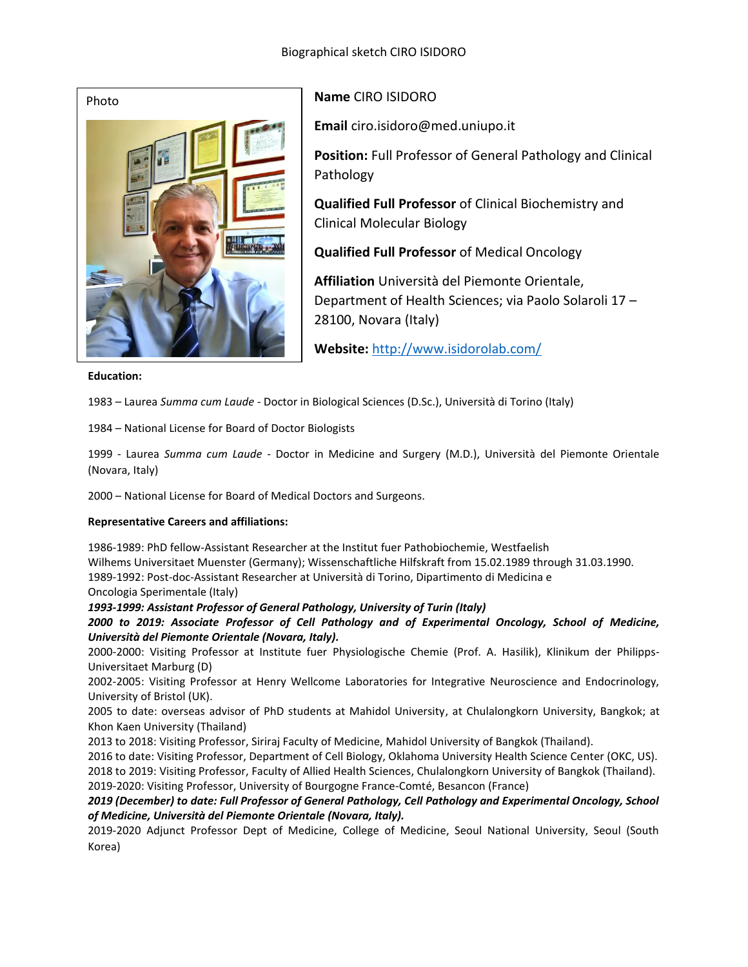

# **Name** CIRO ISIDORO

**Email** ciro.isidoro@med.uniupo.it

**Position:** Full Professor of General Pathology and Clinical Pathology

**Qualified Full Professor** of Clinical Biochemistry and Clinical Molecular Biology

**Qualified Full Professor** of Medical Oncology

**Affiliation** Università del Piemonte Orientale, Department of Health Sciences; via Paolo Solaroli 17 – 28100, Novara (Italy)

**Website:** <http://www.isidorolab.com/>

#### **Education:**

1983 – Laurea *Summa cum Laude* - Doctor in Biological Sciences (D.Sc.), Università di Torino (Italy)

1984 – National License for Board of Doctor Biologists

1999 - Laurea *Summa cum Laude* - Doctor in Medicine and Surgery (M.D.), Università del Piemonte Orientale (Novara, Italy)

2000 – National License for Board of Medical Doctors and Surgeons.

# **Representative Careers and affiliations:**

1986-1989: PhD fellow-Assistant Researcher at the Institut fuer Pathobiochemie, Westfaelish Wilhems Universitaet Muenster (Germany); Wissenschaftliche Hilfskraft from 15.02.1989 through 31.03.1990. 1989-1992: Post-doc-Assistant Researcher at Università di Torino, Dipartimento di Medicina e Oncologia Sperimentale (Italy)

*1993-1999: Assistant Professor of General Pathology, University of Turin (Italy)*

*2000 to 2019: Associate Professor of Cell Pathology and of Experimental Oncology, School of Medicine, Università del Piemonte Orientale (Novara, Italy).*

2000-2000: Visiting Professor at Institute fuer Physiologische Chemie (Prof. A. Hasilik), Klinikum der Philipps-Universitaet Marburg (D)

2002-2005: Visiting Professor at Henry Wellcome Laboratories for Integrative Neuroscience and Endocrinology, University of Bristol (UK).

2005 to date: overseas advisor of PhD students at Mahidol University, at Chulalongkorn University, Bangkok; at Khon Kaen University (Thailand)

2013 to 2018: Visiting Professor, Siriraj Faculty of Medicine, Mahidol University of Bangkok (Thailand).

2016 to date: Visiting Professor, Department of Cell Biology, Oklahoma University Health Science Center (OKC, US). 2018 to 2019: Visiting Professor, Faculty of Allied Health Sciences, Chulalongkorn University of Bangkok (Thailand).

2019-2020: Visiting Professor, University of Bourgogne France-Comté, Besancon (France)

*2019 (December) to date: Full Professor of General Pathology, Cell Pathology and Experimental Oncology, School of Medicine, Università del Piemonte Orientale (Novara, Italy).*

2019-2020 Adjunct Professor Dept of Medicine, College of Medicine, Seoul National University, Seoul (South Korea)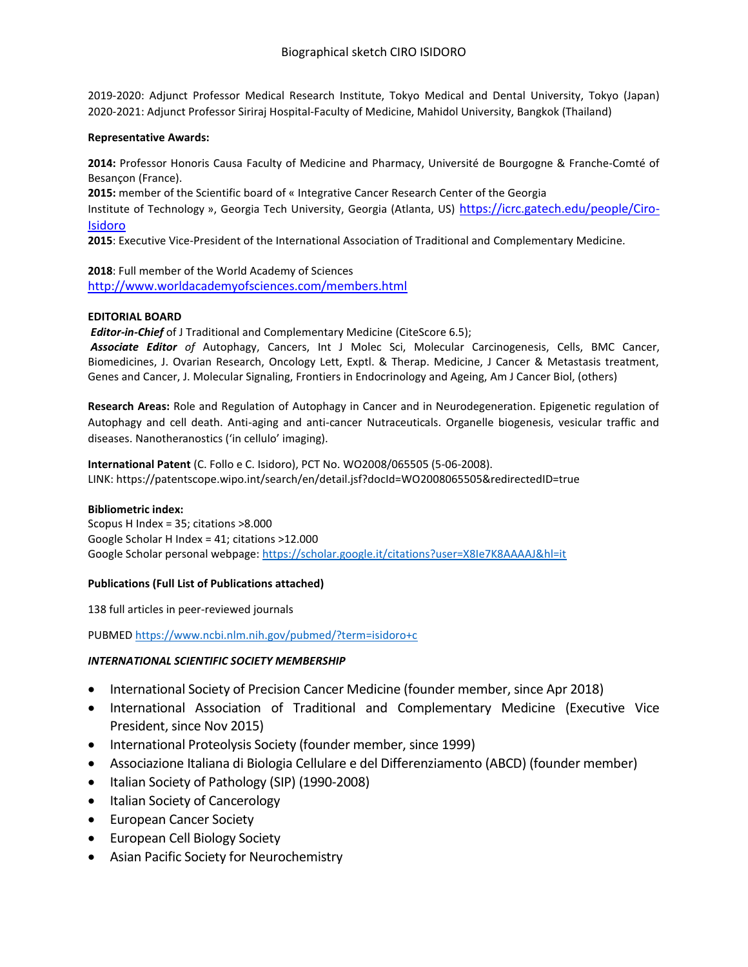2019-2020: Adjunct Professor Medical Research Institute, Tokyo Medical and Dental University, Tokyo (Japan) 2020-2021: Adjunct Professor Siriraj Hospital-Faculty of Medicine, Mahidol University, Bangkok (Thailand)

#### **Representative Awards:**

**2014:** Professor Honoris Causa Faculty of Medicine and Pharmacy, Université de Bourgogne & Franche-Comté of Besançon (France).

**2015:** member of the Scientific board of « Integrative Cancer Research Center of the Georgia

Institute of Technology », Georgia Tech University, Georgia (Atlanta, US) [https://icrc.gatech.edu/people/Ciro-](https://icrc.gatech.edu/people/Ciro-Isidoro)[Isidoro](https://icrc.gatech.edu/people/Ciro-Isidoro)

**2015**: Executive Vice-President of the International Association of Traditional and Complementary Medicine.

**2018**: Full member of the World Academy of Sciences <http://www.worldacademyofsciences.com/members.html>

## **EDITORIAL BOARD**

*Editor-in-Chief* of J Traditional and Complementary Medicine (CiteScore 6.5);

*Associate Editor of* Autophagy, Cancers, Int J Molec Sci, Molecular Carcinogenesis, Cells, BMC Cancer, Biomedicines, J. Ovarian Research, Oncology Lett, Exptl. & Therap. Medicine, J Cancer & Metastasis treatment, Genes and Cancer, J. Molecular Signaling, Frontiers in Endocrinology and Ageing, Am J Cancer Biol, (others)

**Research Areas:** Role and Regulation of Autophagy in Cancer and in Neurodegeneration. Epigenetic regulation of Autophagy and cell death. Anti-aging and anti-cancer Nutraceuticals. Organelle biogenesis, vesicular traffic and diseases. Nanotheranostics ('in cellulo' imaging).

**International Patent** (C. Follo e C. Isidoro), PCT No. WO2008/065505 (5-06-2008). LINK: https://patentscope.wipo.int/search/en/detail.jsf?docId=WO2008065505&redirectedID=true

## **Bibliometric index:**

Scopus H Index = 35; citations >8.000 Google Scholar H Index = 41; citations >12.000 Google Scholar personal webpage:<https://scholar.google.it/citations?user=X8Ie7K8AAAAJ&hl=it>

## **Publications (Full List of Publications attached)**

138 full articles in peer-reviewed journals

PUBMED<https://www.ncbi.nlm.nih.gov/pubmed/?term=isidoro+c>

## *INTERNATIONAL SCIENTIFIC SOCIETY MEMBERSHIP*

- International Society of Precision Cancer Medicine (founder member, since Apr 2018)
- International Association of Traditional and Complementary Medicine (Executive Vice President, since Nov 2015)
- International Proteolysis Society (founder member, since 1999)
- Associazione Italiana di Biologia Cellulare e del Differenziamento (ABCD) (founder member)
- Italian Society of Pathology (SIP) (1990-2008)
- Italian Society of Cancerology
- European Cancer Society
- European Cell Biology Society
- Asian Pacific Society for Neurochemistry